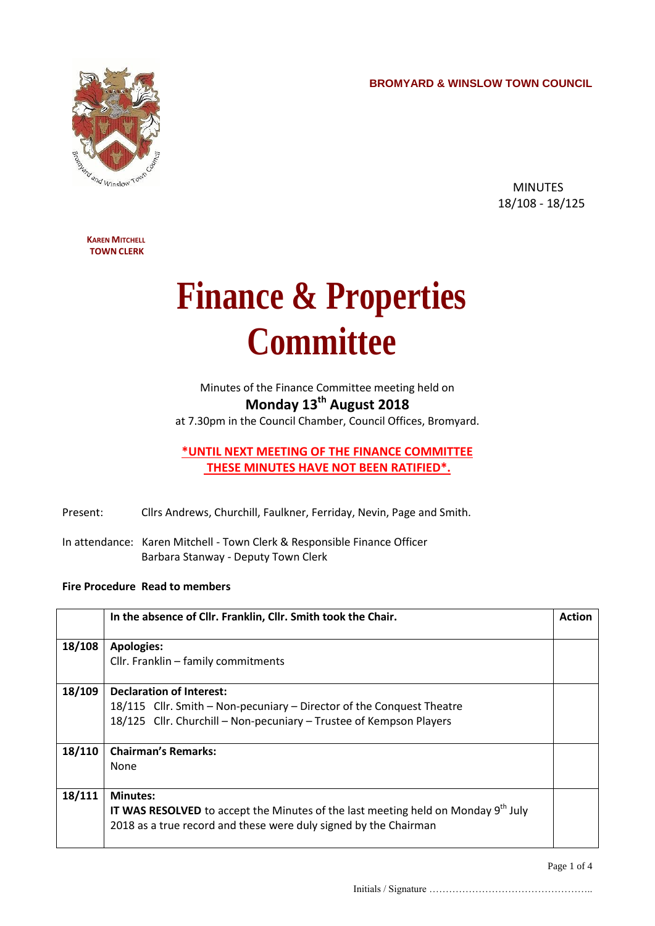**BROMYARD & WINSLOW TOWN COUNCIL**



 MINUTES 18/108 - 18/125

**KAREN MITCHELL TOWN CLERK**

## **Finance & Properties Committee**

## Minutes of the Finance Committee meeting held on **Monday 13th August 2018** at 7.30pm in the Council Chamber, Council Offices, Bromyard.

**\*UNTIL NEXT MEETING OF THE FINANCE COMMITTEE THESE MINUTES HAVE NOT BEEN RATIFIED\*.**

Present: Cllrs Andrews, Churchill, Faulkner, Ferriday, Nevin, Page and Smith.

In attendance: Karen Mitchell - Town Clerk & Responsible Finance Officer Barbara Stanway - Deputy Town Clerk

## **Fire Procedure Read to members**

|        | In the absence of Cllr. Franklin, Cllr. Smith took the Chair.                                        | <b>Action</b> |
|--------|------------------------------------------------------------------------------------------------------|---------------|
| 18/108 | <b>Apologies:</b>                                                                                    |               |
|        | Cllr. Franklin - family commitments                                                                  |               |
| 18/109 | <b>Declaration of Interest:</b>                                                                      |               |
|        | 18/115 Cllr. Smith - Non-pecuniary - Director of the Conquest Theatre                                |               |
|        | 18/125 Cllr. Churchill - Non-pecuniary - Trustee of Kempson Players                                  |               |
|        |                                                                                                      |               |
| 18/110 | <b>Chairman's Remarks:</b>                                                                           |               |
|        | None                                                                                                 |               |
|        |                                                                                                      |               |
| 18/111 | <b>Minutes:</b>                                                                                      |               |
|        | <b>IT WAS RESOLVED</b> to accept the Minutes of the last meeting held on Monday 9 <sup>th</sup> July |               |
|        | 2018 as a true record and these were duly signed by the Chairman                                     |               |
|        |                                                                                                      |               |

Page 1 of 4

Initials / Signature …………………………………………..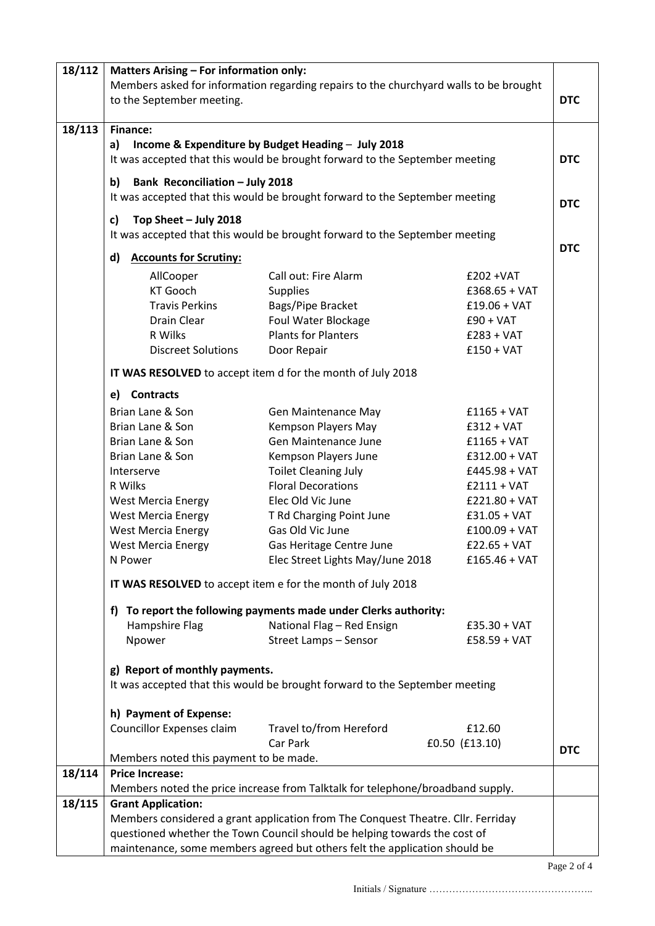| 18/112 | <b>Matters Arising - For information only:</b><br>to the September meeting.                                                                             | Members asked for information regarding repairs to the churchyard walls to be brought |                 | <b>DTC</b> |
|--------|---------------------------------------------------------------------------------------------------------------------------------------------------------|---------------------------------------------------------------------------------------|-----------------|------------|
| 18/113 | <b>Finance:</b>                                                                                                                                         |                                                                                       |                 |            |
|        | a)                                                                                                                                                      | Income & Expenditure by Budget Heading - July 2018                                    |                 |            |
|        |                                                                                                                                                         | It was accepted that this would be brought forward to the September meeting           |                 | <b>DTC</b> |
|        | <b>Bank Reconciliation - July 2018</b><br>b)                                                                                                            |                                                                                       |                 |            |
|        |                                                                                                                                                         | It was accepted that this would be brought forward to the September meeting           |                 |            |
|        |                                                                                                                                                         |                                                                                       |                 | <b>DTC</b> |
|        | Top Sheet - July 2018<br>c)                                                                                                                             | It was accepted that this would be brought forward to the September meeting           |                 |            |
|        |                                                                                                                                                         |                                                                                       |                 | <b>DTC</b> |
|        | <b>Accounts for Scrutiny:</b><br>d)                                                                                                                     |                                                                                       |                 |            |
|        | AllCooper                                                                                                                                               | Call out: Fire Alarm                                                                  | £202 + VAT      |            |
|        | KT Gooch                                                                                                                                                | <b>Supplies</b>                                                                       | $£368.65 + VAT$ |            |
|        | <b>Travis Perkins</b>                                                                                                                                   | Bags/Pipe Bracket                                                                     | $£19.06 + VAT$  |            |
|        | Drain Clear                                                                                                                                             | Foul Water Blockage                                                                   | $£90 + VAT$     |            |
|        | R Wilks                                                                                                                                                 | <b>Plants for Planters</b>                                                            | $£283 + VAT$    |            |
|        | <b>Discreet Solutions</b>                                                                                                                               | Door Repair                                                                           | $£150 + VAT$    |            |
|        |                                                                                                                                                         | IT WAS RESOLVED to accept item d for the month of July 2018                           |                 |            |
|        | e) Contracts                                                                                                                                            |                                                                                       |                 |            |
|        | Brian Lane & Son                                                                                                                                        | <b>Gen Maintenance May</b>                                                            | $£1165 + VAT$   |            |
|        | Brian Lane & Son                                                                                                                                        | Kempson Players May                                                                   | $£312 + VAT$    |            |
|        | Brian Lane & Son                                                                                                                                        | Gen Maintenance June                                                                  | $£1165 + VAT$   |            |
|        | Brian Lane & Son                                                                                                                                        | Kempson Players June                                                                  | $£312.00 + VAT$ |            |
|        | Interserve                                                                                                                                              | <b>Toilet Cleaning July</b>                                                           | $E445.98 + VAT$ |            |
|        | R Wilks                                                                                                                                                 | <b>Floral Decorations</b>                                                             | $£2111 + VAT$   |            |
|        | <b>West Mercia Energy</b>                                                                                                                               | Elec Old Vic June                                                                     | $£221.80 + VAT$ |            |
|        | <b>West Mercia Energy</b>                                                                                                                               | T Rd Charging Point June                                                              | $£31.05 + VAT$  |            |
|        | <b>West Mercia Energy</b>                                                                                                                               | Gas Old Vic June                                                                      | $£100.09 + VAT$ |            |
|        | <b>West Mercia Energy</b>                                                                                                                               | Gas Heritage Centre June                                                              | $£22.65 + VAT$  |            |
|        | N Power                                                                                                                                                 | Elec Street Lights May/June 2018                                                      | $£165.46 + VAT$ |            |
|        |                                                                                                                                                         | IT WAS RESOLVED to accept item e for the month of July 2018                           |                 |            |
|        |                                                                                                                                                         | f) To report the following payments made under Clerks authority:                      |                 |            |
|        | Hampshire Flag                                                                                                                                          | National Flag - Red Ensign                                                            | $£35.30 + VAT$  |            |
|        | Npower                                                                                                                                                  | <b>Street Lamps - Sensor</b>                                                          | $£58.59 + VAT$  |            |
|        |                                                                                                                                                         |                                                                                       |                 |            |
|        | g) Report of monthly payments.                                                                                                                          |                                                                                       |                 |            |
|        |                                                                                                                                                         | It was accepted that this would be brought forward to the September meeting           |                 |            |
|        | h) Payment of Expense:                                                                                                                                  |                                                                                       |                 |            |
|        | <b>Councillor Expenses claim</b>                                                                                                                        | Travel to/from Hereford                                                               | £12.60          |            |
|        |                                                                                                                                                         | Car Park                                                                              | £0.50 (£13.10)  | <b>DTC</b> |
|        | Members noted this payment to be made.                                                                                                                  |                                                                                       |                 |            |
| 18/114 | <b>Price Increase:</b>                                                                                                                                  |                                                                                       |                 |            |
|        |                                                                                                                                                         | Members noted the price increase from Talktalk for telephone/broadband supply.        |                 |            |
| 18/115 | <b>Grant Application:</b>                                                                                                                               |                                                                                       |                 |            |
|        |                                                                                                                                                         | Members considered a grant application from The Conquest Theatre. Cllr. Ferriday      |                 |            |
|        | questioned whether the Town Council should be helping towards the cost of<br>maintenance, some members agreed but others felt the application should be |                                                                                       |                 |            |
|        |                                                                                                                                                         |                                                                                       |                 |            |

Initials / Signature …………………………………………..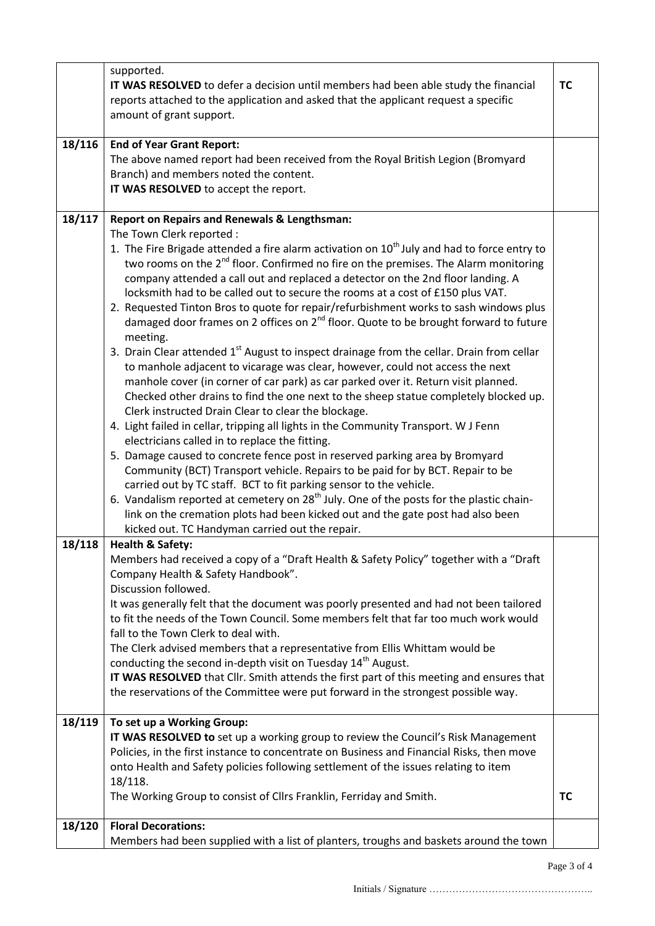|        | supported.<br>IT WAS RESOLVED to defer a decision until members had been able study the financial<br>reports attached to the application and asked that the applicant request a specific<br>amount of grant support.                                                                                                                                                                                                                                                                                                                                                                                                                                                                                                                                                                                                                                                                                                                                                                                                                                                                                                                                                                                                                                                                                                       | TC |
|--------|----------------------------------------------------------------------------------------------------------------------------------------------------------------------------------------------------------------------------------------------------------------------------------------------------------------------------------------------------------------------------------------------------------------------------------------------------------------------------------------------------------------------------------------------------------------------------------------------------------------------------------------------------------------------------------------------------------------------------------------------------------------------------------------------------------------------------------------------------------------------------------------------------------------------------------------------------------------------------------------------------------------------------------------------------------------------------------------------------------------------------------------------------------------------------------------------------------------------------------------------------------------------------------------------------------------------------|----|
| 18/116 | <b>End of Year Grant Report:</b><br>The above named report had been received from the Royal British Legion (Bromyard<br>Branch) and members noted the content.<br>IT WAS RESOLVED to accept the report.                                                                                                                                                                                                                                                                                                                                                                                                                                                                                                                                                                                                                                                                                                                                                                                                                                                                                                                                                                                                                                                                                                                    |    |
| 18/117 | <b>Report on Repairs and Renewals &amp; Lengthsman:</b><br>The Town Clerk reported :<br>1. The Fire Brigade attended a fire alarm activation on $10^{th}$ July and had to force entry to<br>two rooms on the 2 <sup>nd</sup> floor. Confirmed no fire on the premises. The Alarm monitoring<br>company attended a call out and replaced a detector on the 2nd floor landing. A<br>locksmith had to be called out to secure the rooms at a cost of £150 plus VAT.<br>2. Requested Tinton Bros to quote for repair/refurbishment works to sash windows plus<br>damaged door frames on 2 offices on $2^{nd}$ floor. Quote to be brought forward to future<br>meeting.<br>3. Drain Clear attended 1 <sup>st</sup> August to inspect drainage from the cellar. Drain from cellar<br>to manhole adjacent to vicarage was clear, however, could not access the next<br>manhole cover (in corner of car park) as car parked over it. Return visit planned.<br>Checked other drains to find the one next to the sheep statue completely blocked up.<br>Clerk instructed Drain Clear to clear the blockage.<br>4. Light failed in cellar, tripping all lights in the Community Transport. W J Fenn<br>electricians called in to replace the fitting.<br>5. Damage caused to concrete fence post in reserved parking area by Bromyard |    |
|        | Community (BCT) Transport vehicle. Repairs to be paid for by BCT. Repair to be<br>carried out by TC staff. BCT to fit parking sensor to the vehicle.<br>6. Vandalism reported at cemetery on 28 <sup>th</sup> July. One of the posts for the plastic chain-<br>link on the cremation plots had been kicked out and the gate post had also been<br>kicked out. TC Handyman carried out the repair.                                                                                                                                                                                                                                                                                                                                                                                                                                                                                                                                                                                                                                                                                                                                                                                                                                                                                                                          |    |
| 18/118 | <b>Health &amp; Safety:</b><br>Members had received a copy of a "Draft Health & Safety Policy" together with a "Draft<br>Company Health & Safety Handbook".<br>Discussion followed.<br>It was generally felt that the document was poorly presented and had not been tailored<br>to fit the needs of the Town Council. Some members felt that far too much work would<br>fall to the Town Clerk to deal with.<br>The Clerk advised members that a representative from Ellis Whittam would be<br>conducting the second in-depth visit on Tuesday 14 <sup>th</sup> August.<br>IT WAS RESOLVED that Cllr. Smith attends the first part of this meeting and ensures that<br>the reservations of the Committee were put forward in the strongest possible way.                                                                                                                                                                                                                                                                                                                                                                                                                                                                                                                                                                  |    |
| 18/119 | To set up a Working Group:<br>IT WAS RESOLVED to set up a working group to review the Council's Risk Management<br>Policies, in the first instance to concentrate on Business and Financial Risks, then move<br>onto Health and Safety policies following settlement of the issues relating to item<br>18/118.<br>The Working Group to consist of Cllrs Franklin, Ferriday and Smith.                                                                                                                                                                                                                                                                                                                                                                                                                                                                                                                                                                                                                                                                                                                                                                                                                                                                                                                                      | TC |
| 18/120 | <b>Floral Decorations:</b><br>Members had been supplied with a list of planters, troughs and baskets around the town                                                                                                                                                                                                                                                                                                                                                                                                                                                                                                                                                                                                                                                                                                                                                                                                                                                                                                                                                                                                                                                                                                                                                                                                       |    |